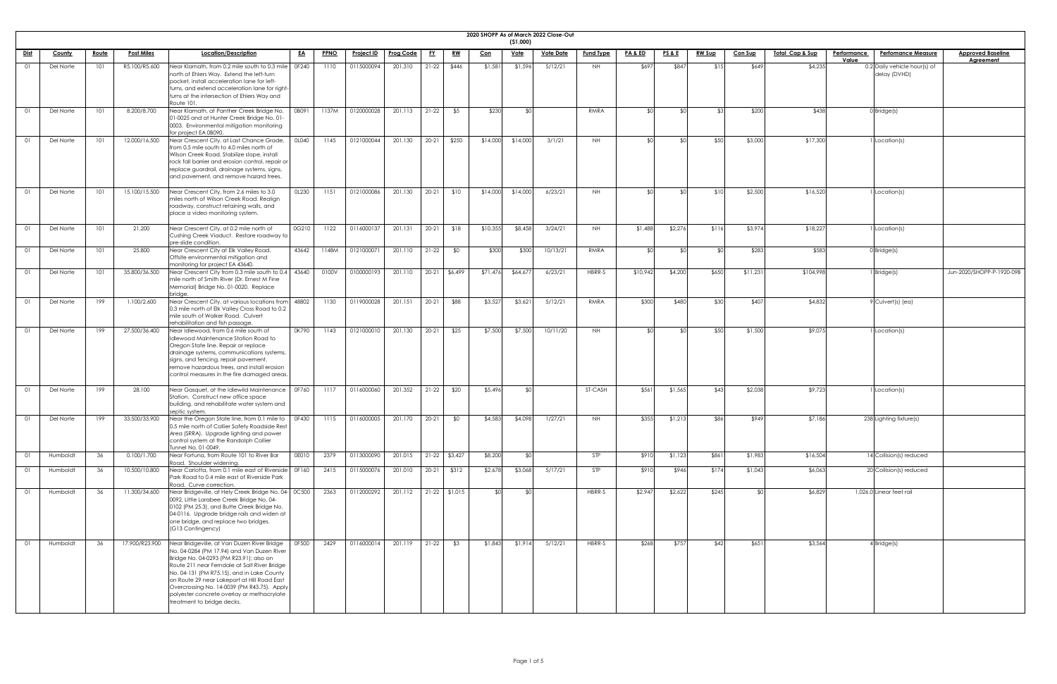|                |               |              |                   |                                                                                                                                                                                                                                                                                                                                                                                                                             |              |             |                   |                  |           |                 |            |             | 2020 SHOPP As of March 2022 Close-Out |                  |          |                 |               |                |                 |                                                   |                                              |
|----------------|---------------|--------------|-------------------|-----------------------------------------------------------------------------------------------------------------------------------------------------------------------------------------------------------------------------------------------------------------------------------------------------------------------------------------------------------------------------------------------------------------------------|--------------|-------------|-------------------|------------------|-----------|-----------------|------------|-------------|---------------------------------------|------------------|----------|-----------------|---------------|----------------|-----------------|---------------------------------------------------|----------------------------------------------|
|                |               |              |                   |                                                                                                                                                                                                                                                                                                                                                                                                                             |              |             |                   |                  |           |                 |            | ( \$1,000)  |                                       |                  |          |                 |               |                |                 |                                                   |                                              |
| <u>Dist</u>    | <b>County</b> | <u>Route</u> | <b>Post Miles</b> | Location/Description                                                                                                                                                                                                                                                                                                                                                                                                        | <u>EA</u>    | <b>PPNO</b> | <b>Project ID</b> | <b>Prog Code</b> | <u>FY</u> | <u>RW</u>       | <u>Con</u> | <u>Vote</u> | <b>Vote Date</b>                      | <b>Fund Type</b> | PA&ED    | <b>PS&amp;E</b> | <b>RW Sup</b> | <b>Con Sup</b> | Total Cap & Sup | Performance<br><b>Perfomance Measure</b><br>Value | <b>Approved Baseline</b><br><b>Agreement</b> |
| - 01           | Del Norte     | 101          | R5.100/R5.600     | Near Klamath, from 0.2 mile south to 0.3 mile   0F240<br>north of Ehlers Way. Extend the left-turn<br>pocket, install acceleration lane for left-<br>turns, and extend acceleration lane for right-<br>turns at the intersection of Ehlers Way and<br>Route 101.                                                                                                                                                            |              | 1110        | 0115000094        | 201.310          | $21-22$   | \$446           | \$1,581    | \$1,596     | 5/12/21                               | <b>NH</b>        | \$697    | \$847           | \$15          | \$649          | \$4,235         | 0.2 Daily vehicle hour(s) of<br>delay (DVHD)      |                                              |
| - 01           | Del Norte     | 101          | 8.200/8.700       | Near Klamath, at Panther Creek Bridge No.<br>01-0025 and at Hunter Creek Bridge No. 01-<br>0003. Environmental mitigation monitoring<br>for project EA 0B090.                                                                                                                                                                                                                                                               | OB091        | 1137M       | 0120000028        | 201.113          | $21-22$   | \$5             | \$230      |             |                                       | RMRA             |          |                 |               | \$200          | \$438           | $0$ Bridge(s)                                     |                                              |
| 01             | Del Norte     | 101          | 12.000/16.500     | Near Crescent City, at Last Chance Grade,<br>from 0.5 mile south to 4.0 miles north of<br>Wilson Creek Road. Stabilize slope, install<br>rock fall barrier and erosion control, repair or<br>replace guardrail, drainage systems, signs,<br>and pavement, and remove hazard trees.                                                                                                                                          | <b>OLO40</b> | 1145        | 0121000044        | 201.130          | $20-21$   | \$250           | \$14,000   | \$14,000    | 3/1/21                                | NH               |          |                 | \$50          | \$3,000        | \$17,300        | 1 Location(s)                                     |                                              |
| - 01           | Del Norte     | 101          | 15.100/15.500     | Near Crescent City, from 2.6 miles to 3.0<br>miles north of Wilson Creek Road. Realign<br>roadway, construct retaining walls, and<br>place a video monitoring system.                                                                                                                                                                                                                                                       | OL230        | 1151        | 0121000086        | 201.130          | $20 - 21$ | \$10            | \$14,000   | \$14,000    | 6/23/21                               | NH               | ⊄∩       |                 | \$10          | \$2,500        | \$16,520        | 1 Location(s)                                     |                                              |
| O <sub>1</sub> | Del Norte     | 101          | 21.200            | Near Crescent City, at 0.2 mile north of<br>Cushing Creek Viaduct. Restore roadway to<br>pre-slide condition.                                                                                                                                                                                                                                                                                                               | 0G210        | 1122        | 0116000137        | 201.131          | $20 - 21$ | \$18            | \$10,355   | \$8,458     | 3/24/21                               | NH.              | \$1,488  | \$2,276         | \$116         | \$3,974        | \$18,227        | 1 Location(s)                                     |                                              |
| - 01           | Del Norte     | 101          | 25.800            | Near Crescent City at Elk Valley Road.<br>Offsite environmental mitigation and<br>monitoring for project EA 43640.                                                                                                                                                                                                                                                                                                          | 43642        | 1148M       | 0121000071        | 201.110          | $21-22$   | \$0             | \$300      | \$300       | 10/13/21                              | RMRA             |          |                 | _⊄∩           | \$283          | \$583           | $0$ Bridge(s)                                     |                                              |
| 01             | Del Norte     | 101          | 35.800/36.500     | Near Crescent City from 0.3 mile south to 0.4   43640<br>mile north of Smith River (Dr. Ernest M Fine<br>Memorial) Bridge No. 01-0020. Replace<br>bridge.                                                                                                                                                                                                                                                                   |              | 0100V       | 0100000193        | 201.110          |           | 20-21 \$6,499   | \$71,476   | \$64,67     | 6/23/21                               | HBRR-S           | \$10,942 | \$4,200         | \$650         | \$11,231       | \$104,998       | $1$ Bridge(s)                                     | Jun-2020/SHOPP-P-1920-09B                    |
| - 01           | Del Norte     | 199          | 1.100/2.600       | Near Crescent City, at various locations from  48802<br>0.3 mile north of Elk Valley Cross Road to 0.2<br>mile south of Walker Road. Culvert<br>rehabilitation and fish passage.                                                                                                                                                                                                                                            |              | 1130        | 0119000028        | 201.151          | $20 - 21$ | \$88            | \$3,527    | \$3,62      | 5/12/21                               | RMRA             | \$300    | \$480           | \$30          | \$407          | \$4,832         | 9 Culvert(s) (ea)                                 |                                              |
| - 01           | Del Norte     | 199          | 27.500/36.400     | Near Idlewood, from 0.6 mile south of<br>Idlewood Maintenance Station Road to<br>Oregon State line. Repair or replace<br>drainage systems, communications systems,<br>signs, and fencing, repair pavement,<br>remove hazardous trees, and install erosion<br>control measures in the fire damaged areas.                                                                                                                    | 0K790        | 1143        | 0121000010        | 201.130          | $20 - 21$ | \$25            | \$7,500    | \$7,500     | 10/11/20                              | <b>NH</b>        |          |                 | \$50          | \$1,500        | \$9,075         | 1 Location(s)                                     |                                              |
| 01             | Del Norte     | 199          | 28.100            | Near Gasquet, at the Idlewild Maintenance   0F760<br>Station. Construct new office space<br>building, and rehabilitate water system and<br>septic system.                                                                                                                                                                                                                                                                   |              | 1117        | 0116000060        | 201.352          | $21-22$   | \$20            | \$5,496    |             |                                       | <b>ST-CASH</b>   | \$561    | \$1,565         | \$43          | \$2,038        | \$9,723         | 1 Location(s)                                     |                                              |
| - 01           | Del Norte     | 199          | 33.500/33.900     | Near the Oregon State line, from 0.1 mile to   0F430<br>0.5 mile north of Collier Safety Roadside Rest<br>Area (SRRA). Upgrade lighting and power<br>control system at the Randolph Collier<br>Tunnel No. 01-0049.                                                                                                                                                                                                          |              | 1115        | 0116000005        | 201.170          | $20 - 21$ | \$0             | \$4,583    | \$4,098     | 1/27/21                               | NH               | \$355    | \$1,213         | \$86          | \$949          | \$7,186         | 238 Lighting fixture(s)                           |                                              |
| O <sub>1</sub> | Humboldt      | 36           | 0.100/1.700       | Near Fortuna, from Route 101 to River Bar<br>Road. Shoulder widening.                                                                                                                                                                                                                                                                                                                                                       | 0E010        | 2379        | 0113000090        | 201.015          |           | $21-22$ \$3,427 | \$8,200    |             |                                       | STP              | \$910    | \$1,123         | \$861         | \$1,983        | \$16,504        | 14 Collision(s) reduced                           |                                              |
| O1             | Humboldt      | 36           | 10.500/10.800     | Near Carlotta, from 0.1 mile east of Riverside 0F160<br>Park Road to 0.4 mile east of Riverside Park<br>Road. Curve correction.                                                                                                                                                                                                                                                                                             |              | 2415        | 0115000076        | 201.010          | $20-21$   | \$312           | \$2,678    | \$3,068     | 5/17/21                               | STP              | \$910    | \$946           | \$174         | \$1,043        | \$6,063         | 20 Collision(s) reduced                           |                                              |
| $\Omega$       | Humboldt      | 36           | 11.300/34.600     | Near Bridgeville, at Hely Creek Bridge No. 04- 0C500<br>0092, Little Larabee Creek Bridge No. 04-<br>0102 (PM 25.3), and Butte Creek Bridge No.<br>04-0116. Upgrade bridge rails and widen at<br>one bridge, and replace two bridges.<br>$(G13$ Contingency)                                                                                                                                                                |              | 2363        | 0112000292        | 201.112          |           | $21-22$ \$1,015 | ו∩⊅        |             |                                       | HBRR-S           | \$2,947  | \$2,622         | \$245         |                | \$6,829         | 1,026.0 Linear feet rail                          |                                              |
| 01             | Humboldt      | 36           |                   | 17.900/R23.900 Near Bridgeville, at Van Duzen River Bridge<br>No. 04-0284 (PM 17.94) and Van Duzen River<br>Bridge No. 04-0293 (PM R23.91); also on<br>Route 211 near Ferndale at Salt River Bridge<br>No. 04-131 (PM R75.15), and in Lake County<br>on Route 29 near Lakeport at Hill Road East<br>Overcrossing No. 14-0039 (PM R43.75). Apply<br>polyester concrete overlay or methacrylate<br>treatment to bridge decks. | OF500        | 2429        | 0116000014        | 201.119          | $21-22$   | \$3             | \$1,843    | \$1,914     | 5/12/21                               | HBRR-S           | \$268    | \$757           | \$42          | \$651          | \$3,564         | $4$ Bridge(s)                                     |                                              |

| ved Baseline<br><u><b>reement</b></u> |  |
|---------------------------------------|--|
|                                       |  |
|                                       |  |
|                                       |  |
|                                       |  |
|                                       |  |
|                                       |  |
|                                       |  |
|                                       |  |
|                                       |  |
|                                       |  |
|                                       |  |
|                                       |  |
|                                       |  |
| HOPP-P-1920-09B                       |  |
|                                       |  |
|                                       |  |
|                                       |  |
|                                       |  |
|                                       |  |
|                                       |  |
|                                       |  |
|                                       |  |
|                                       |  |
|                                       |  |
|                                       |  |
|                                       |  |
|                                       |  |
|                                       |  |
|                                       |  |
|                                       |  |
|                                       |  |
|                                       |  |
|                                       |  |
|                                       |  |
|                                       |  |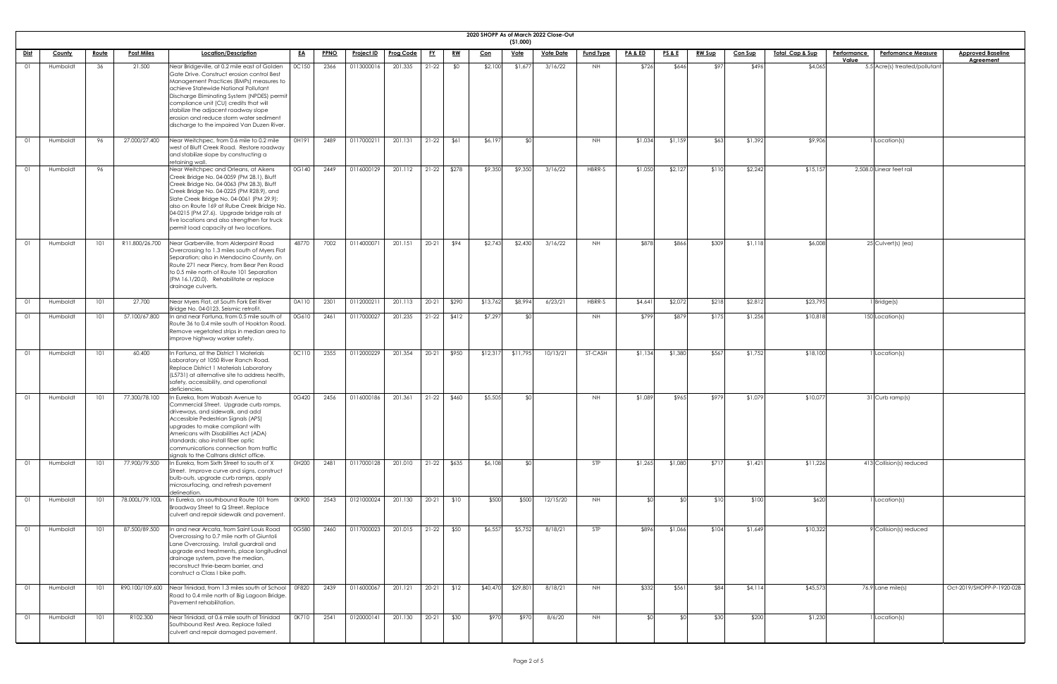|                |          |              |                   |                                                                                                                                                                                                                                                                                                                                                                                                                |           |             |                   |                  |           |           |            | ( \$1,000)  | 2020 SHOPP As of March 2022 Close-Out |                  |                    |                 |               |                |                             |                                                   |                                              |
|----------------|----------|--------------|-------------------|----------------------------------------------------------------------------------------------------------------------------------------------------------------------------------------------------------------------------------------------------------------------------------------------------------------------------------------------------------------------------------------------------------------|-----------|-------------|-------------------|------------------|-----------|-----------|------------|-------------|---------------------------------------|------------------|--------------------|-----------------|---------------|----------------|-----------------------------|---------------------------------------------------|----------------------------------------------|
| <u>Dist</u>    | County   | <u>Route</u> | <b>Post Miles</b> | Location/Description                                                                                                                                                                                                                                                                                                                                                                                           | <u>EA</u> | <b>PPNO</b> | <b>Project ID</b> | <b>Prog Code</b> | <u>FY</u> | <u>RW</u> | <u>Con</u> | <u>Vote</u> | <b>Vote Date</b>                      | <b>Fund Type</b> | <b>PA &amp; ED</b> | <u>PS&amp;E</u> | <u>RW Sup</u> | <b>Con Sup</b> | <u> Total Cap &amp; Sup</u> | Performance<br><b>Perfomance Measure</b><br>Value | <b>Approved Baseline</b><br><b>Agreement</b> |
| 01             | Humboldt | 36           | 21.500            | Near Bridgeville, at 0.2 mile east of Golden<br>Gate Drive. Construct erosion control Best<br>Management Practices (BMPs) measures to<br>achieve Statewide National Pollutant<br>Discharge Eliminating System (NPDES) permit<br>compliance unit (CU) credits that will<br>stabilize the adjacent roadway slope<br>erosion and reduce storm water sediment<br>discharge to the impaired Van Duzen River.        | 0C150     | 2366        | 0113000016        | 201.335          | $21 - 22$ | \$0       | \$2,100    | \$1,677     | 3/16/22                               | <b>NH</b>        | \$726              | \$646           |               | \$496          | \$4,065                     | 5.5 Acre(s) treated/pollutant                     |                                              |
| O <sub>1</sub> | Humboldt | 96           | 27.000/27.400     | Near Weitchpec, from 0.6 mile to 0.2 mile<br>west of Bluff Creek Road. Restore roadway<br>and stabilize slope by constructing a<br>retaining wall.                                                                                                                                                                                                                                                             | OH191     | 2489        | 0117000211        | 201.131          | $21-22$   | \$61      | \$6,197    |             |                                       | <b>NH</b>        | \$1,034            | \$1,159         | \$63          | \$1,392        | \$9,906                     | Location(s)                                       |                                              |
| O <sub>1</sub> | Humboldt | 96           |                   | Near Weitchpec and Orleans, at Aikens<br>Creek Bridge No. 04-0059 (PM 28.1), Bluff<br>Creek Bridge No. 04-0063 (PM 28.3), Bluff<br>Creek Bridge No. 04-0225 (PM R28.9), and<br>Slate Creek Bridge No. 04-0061 (PM 29.9);<br>also on Route 169 at Rube Creek Bridge No.<br>04-0215 (PM 27.6). Upgrade bridge rails at<br>five locations and also strengthen for truck<br>permit load capacity at two locations. | 0G140     | 2449        | 0116000129        | 201.112          | $21-22$   | \$278     | \$9,350    | \$9,350     | 3/16/22                               | HBRR-S           | \$1,050            | \$2,127         | \$110         | \$2,242        | \$15,157                    | 2,508.0 Linear feet rail                          |                                              |
| - 01           | Humboldt | 101          | R11.800/26.700    | Near Garberville, from Alderpoint Road<br>Overcrossing to 1.3 miles south of Myers Flat<br>Separation; also in Mendocino County, on<br>Route 271 near Piercy, from Bear Pen Road<br>to 0.5 mile north of Route 101 Separation<br>(PM 16.1/20.0). Rehabilitate or replace<br>drainage culverts.                                                                                                                 | 48770     | 7002        | 0114000071        | 201.151          | $20 - 21$ | \$94      | \$2,743    | \$2,430     | 3/16/22                               | <b>NH</b>        | \$878              | \$866           | \$309         | \$1,118        | \$6,008                     | $25$ Culvert(s) (ea)                              |                                              |
| 01             | Humboldt | 101          | 27.700            | Near Myers Flat, at South Fork Eel River<br>Bridge No. 04-0123. Seismic retrofit.                                                                                                                                                                                                                                                                                                                              | 0A110     | 2301        | 011200021         | 201.113          | $20-21$   | \$290     | \$13,762   | \$8,994     | 6/23/21                               | HBRR-S           | \$4,641            | \$2,072         | \$218         | \$2,812        | \$23,795                    | 1 Bridge(s)                                       |                                              |
| O1             | Humboldt | 101          | 57.100/67.800     | In and near Fortuna, from 0.5 mile south of<br>Route 36 to 0.4 mile south of Hookton Road.<br>Remove vegetated strips in median area to<br>improve highway worker safety.                                                                                                                                                                                                                                      | 0G610     | 2461        | 0117000027        | 201.235          | $21-22$   | \$412     | \$7,297    |             |                                       | NH.              | \$799              | \$879           | \$175         | \$1,256        | \$10,818                    | 150 Location(s)                                   |                                              |
| - 01           | Humboldt | 101          | 60.400            | In Fortuna, at the District 1 Materials<br>Laboratory at 1050 River Ranch Road.<br>Replace District 1 Materials Laboratory<br>(L5731) at alternative site to address health,<br>safety, accessibility, and operational<br>deficiencies.                                                                                                                                                                        | 0C110     | 2355        | 0112000229        | 201.354          | $20-21$   | \$950     | \$12,317   | \$11,795    | 10/13/21                              | ST-CASH          | \$1,134            | \$1,380         | \$567         | \$1,752        | \$18,100                    | Location(s)                                       |                                              |
| O <sub>1</sub> | Humboldt | 101          | 77.300/78.100     | In Eureka, from Wabash Avenue to<br>Commercial Street. Upgrade curb ramps,<br>driveways, and sidewalk, and add<br>Accessible Pedestrian Signals (APS)<br>upgrades to make compliant with<br>Americans with Disabilities Act (ADA)<br>standards; also install fiber optic<br>communications connection from traffic<br>signals to the Caltrans district office.                                                 | 0G420     | 2456        | 0116000186        | 201.361          | $21-22$   | \$460     | \$5,505    | ו∩≯         |                                       | <b>NH</b>        | \$1,089            | \$965           | \$979         | \$1,079        | \$10,077                    | 31 Curb ramp(s)                                   |                                              |
| 01             | Humboldt | 101          | 77.900/79.500     | In Eureka, from Sixth Street to south of X<br>Street. Improve curve and signs, construct<br>bulb-outs, upgrade curb ramps, apply<br>microsurfacing, and refresh pavement<br>delineation.                                                                                                                                                                                                                       | 0H200     | 2481        | 0117000128        | 201.010          | $21-22$   | \$635     | \$6,108    | ്ടവ         |                                       | <b>STP</b>       | \$1,265            | \$1,080         | \$717         | \$1,421        | \$11,226                    | 413 Collision(s) reduced                          |                                              |
| O <sub>1</sub> | Humboldt | 101          | 78.000L/79.100L   | In Eureka, on southbound Route 101 from<br>Broadway Street to Q Street. Replace<br>culvert and repair sidewalk and pavement.                                                                                                                                                                                                                                                                                   | 0K900     | 2543        | 0121000024        | 201.130          | $20-21$   | \$10      | \$500      | \$500       | 12/15/20                              | <b>NH</b>        | ¢∩l                |                 | \$10          | \$100          | \$620                       | Location(s)                                       |                                              |
| O <sub>1</sub> | Humboldt | 101          | 87.500/89.500     | In and near Arcata, from Saint Louis Road<br>Overcrossing to 0.7 mile north of Giuntoli<br>Lane Overcrossing. Install guardrail and<br>upgrade end treatments, place longitudinal<br>drainage system, pave the median,<br>reconstruct thrie-beam barrier, and<br>construct a Class I bike path.                                                                                                                | 0G580     | 2460        | 0117000023        | 201.015          | $21-22$   | \$50      | \$6,557    | \$5,752     | 8/18/21                               | <b>STP</b>       | \$896              | \$1,066         | \$104         | \$1,649        | \$10,322                    | 9 Collision(s) reduced                            |                                              |
| 01             | Humboldt | 101          |                   | R90.100/109.600 Near Trinidad, from 1.3 miles south of School   0F820<br>Road to 0.4 mile north of Big Lagoon Bridge.<br>Pavement rehabilitation.                                                                                                                                                                                                                                                              |           | 2439        | 0116000067        | 201.121          | $20-21$   | \$12      | \$40,470   | \$29,801    | 8/18/21                               | <b>NH</b>        | \$332              | \$561           | \$84          | \$4,114        | \$45,573                    | $76.9$ Lane mile(s)                               | Oct-2019/SHOPP-P-1920-02B                    |
| 01             | Humboldt | 101          | R102.300          | Near Trinidad, at 0.6 mile south of Trinidad<br>Southbound Rest Area. Replace failed<br>culvert and repair damaged pavement.                                                                                                                                                                                                                                                                                   |           | OK710 2541  | 0120000141        | 201.130          | $20-21$   | \$30      | \$970      | \$970       | 8/6/20                                | <b>NH</b>        | ⊄∩                 |                 | \$30          | \$200          | \$1,230                     | I Location(s)                                     |                                              |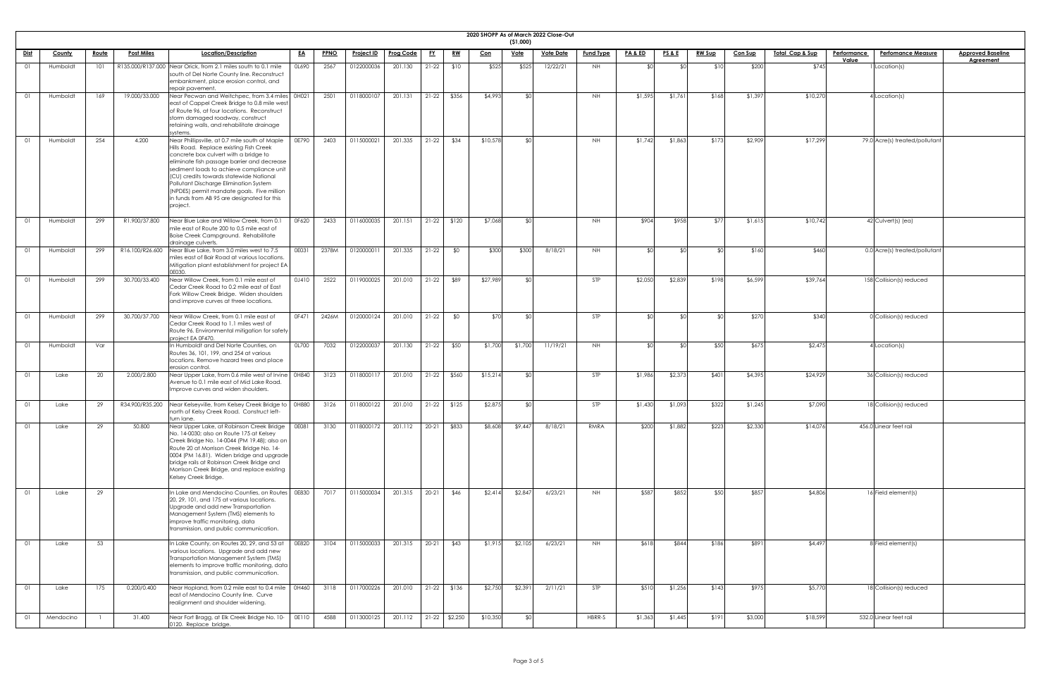|             |           |              |                   |                                                                                                                                                                                                                                                                                                                                                                                                                              |           |             |                   |                    |           |               |            | (51,000)    | 2020 SHOPP As of March 2022 Close-Out |                  |                    |                 |               |                |                            |                    |                                |                          |
|-------------|-----------|--------------|-------------------|------------------------------------------------------------------------------------------------------------------------------------------------------------------------------------------------------------------------------------------------------------------------------------------------------------------------------------------------------------------------------------------------------------------------------|-----------|-------------|-------------------|--------------------|-----------|---------------|------------|-------------|---------------------------------------|------------------|--------------------|-----------------|---------------|----------------|----------------------------|--------------------|--------------------------------|--------------------------|
| <u>Dist</u> | County    | <u>Route</u> | <b>Post Miles</b> | Location/Description                                                                                                                                                                                                                                                                                                                                                                                                         | <u>EA</u> | <b>PPNO</b> | <b>Project ID</b> | <u>Prog Code</u>   | <u>FY</u> | <u>RW</u>     | <u>Con</u> | <u>Vote</u> | <b>Vote Date</b>                      | <b>Fund Type</b> | <b>PA &amp; ED</b> | <u>PS&amp;E</u> | <u>RW Sup</u> | <b>Con Sup</b> | <u>Total Cap &amp; Sup</u> | <b>Performance</b> | <b>Perfomance Measure</b>      | <b>Approved Baseline</b> |
|             |           |              |                   |                                                                                                                                                                                                                                                                                                                                                                                                                              |           |             |                   |                    |           |               |            |             |                                       |                  |                    |                 |               |                |                            | Value              |                                | <b>Agreement</b>         |
|             | Humboldt  | 101          |                   | R135.000/R137.000 Near Orick, from 2.1 miles south to 0.1 mile<br>south of Del Norte County line. Reconstruct<br>embankment, place erosion control, and<br>repair pavement.                                                                                                                                                                                                                                                  | OL690     | 2567        | 0122000036        | 201.130            | $21-22$   | \$10          | \$525      | \$525       | 12/22/21                              | NH.              | ⊄∩                 |                 |               | \$200          | \$745                      |                    | Location(s)                    |                          |
|             | Humboldt  | 169          | 19.000/33.000     | Near Pecwan and Weitchpec, from 3.4 miles 0H021<br>east of Cappel Creek Bridge to 0.8 mile west<br>of Route 96, at four locations. Reconstruct<br>storm damaged roadway, construct<br>retaining walls, and rehabilitate drainage<br>systems.                                                                                                                                                                                 |           | 2501        | 0118000107        | 201.131            | $21-22$   | \$356         | \$4,993    | ו∩\$        |                                       | <b>NH</b>        | \$1,595            | \$1,761         | \$168         | \$1,397        | \$10,270                   |                    | Location(s)                    |                          |
|             | Humboldt  | 254          | 4.200             | Near Phillipsville, at 0.7 mile south of Maple<br>Hills Road. Replace existing Fish Creek<br>concrete box culvert with a bridge to<br>eliminate fish passage barrier and decrease<br>sediment loads to achieve compliance unit<br>(CU) credits towards statewide National<br>Pollutant Discharge Elimination System<br>(NPDES) permit mandate goals. Five million<br>in funds from AB 95 are designated for this<br>project. | 0E790     | 2403        | 0115000021        | 201.335            | $21-22$   | \$34          | \$10,578   | ደ∩∣         |                                       | <b>NH</b>        | \$1,742            | \$1,863         | \$173         | \$2,909        | \$17,299                   |                    | 79.0 Acre(s) treated/pollutant |                          |
|             | Humboldt  | 299          | R1.900/37.800     | Near Blue Lake and Willow Creek, from 0.1<br>mile east of Route 200 to 0.5 mile east of<br>Boise Creek Campground. Rehabilitate<br>drainage culverts.                                                                                                                                                                                                                                                                        | OF620     | 2433        | 0116000035        | 201.151            | $21-22$   | \$120         | \$7,068    | \$∩         |                                       | NH.              | \$904              | \$958           | \$77          | \$1,615        | \$10,742                   |                    | $42$ Culvert(s) (ea)           |                          |
|             | Humboldt  | 299          | R16.100/R26.600   | Near Blue Lake, from 3.0 miles west to 7.5<br>miles east of Bair Road at various locations.<br>Mitigation plant establishment for project EA<br>0E030.                                                                                                                                                                                                                                                                       | OE031     | 2378M       | 012000001         | 201.335            | $21-22$   | \$0           | \$300      | \$300       | 8/18/21                               | <b>NH</b>        | ዳበ                 | \$∩             |               | \$160          | \$460                      |                    | 0.0 Acre(s) treated/pollutant  |                          |
|             | Humboldt  | 299          | 30.700/33.400     | Near Willow Creek, from 0.1 mile east of<br>Cedar Creek Road to 0.2 mile east of East<br>Fork Willow Creek Bridge. Widen shoulders<br>and improve curves at three locations.                                                                                                                                                                                                                                                 | 0J410     |             | 2522 0119000025   | 201.010 21-22 \$89 |           |               | \$27,989   |             |                                       |                  | \$2,050            | \$2,839         | 198 \$        | \$6,599        | \$39,764]                  |                    | 158 Collision(s) reduced       |                          |
| 01          | Humboldt  | 299          | 30.700/37.700     | Near Willow Creek, from 0.1 mile east of<br>Cedar Creek Road to 1.1 miles west of<br>Route 96. Environmental mitigation for safety<br>project EA 0F470.                                                                                                                                                                                                                                                                      | OF471     | 2426M       | 0120000124        | 201.010            | $21-22$   | \$0           | \$70       | ⊄∩          |                                       | STP              | ו∩≯                | ⊄∩              |               | \$270          | \$340                      |                    | 0 Collision(s) reduced         |                          |
|             | Humboldt  | Var          |                   | n Humboldt and Del Norte Counties, on<br>Routes 36, 101, 199, and 254 at various<br>locations. Remove hazard trees and place<br>erosion control.                                                                                                                                                                                                                                                                             | OL700     | 7032        | 0122000037        | 201.130            | $21-22$   | \$50          | \$1,700    | \$1,700     | 11/19/21                              | NH.              | ዳଠ                 | ו∩\$            | \$50          | \$675          | \$2,475                    |                    | Location(s)                    |                          |
|             | Lake      | 20           | 2.000/2.800       | Near Upper Lake, from 0.6 mile west of Irvine   0H840<br>Avenue to 0.1 mile east of Mid Lake Road.<br>Improve curves and widen shoulders.                                                                                                                                                                                                                                                                                    |           | 3123        | 0118000117        | 201.010            | $21-22$   | \$560         | \$15,214   |             |                                       | STP              | \$1,986            | \$2,373         | \$401         | \$4,395        | \$24,929                   |                    | 36 Collision(s) reduced        |                          |
| 01          | Lake      | 29           |                   | R34.900/R35.200 Near Kelseyville, from Kelsey Creek Bridge to   0H880<br>north of Kelsy Creek Road. Construct left-<br>turn lane.                                                                                                                                                                                                                                                                                            |           | 3126        | 0118000122        | 201.010            | $21-22$   | \$125         | \$2,875    | ዳበ          |                                       | STP              | \$1,430            | \$1,093         | \$322         | \$1,245        | \$7,090                    |                    | 18 Collision(s) reduced        |                          |
|             | Lake      | 29           | 50.800            | Near Upper Lake, at Robinson Creek Bridge<br>No. 14-0030; also on Route 175 at Kelsey<br>Creek Bridge No. 14-0044 (PM 19.48); also on<br>Route 20 at Morrison Creek Bridge No. 14-<br>0004 (PM 16.81). Widen bridge and upgrade<br>bridge rails at Robinson Creek Bridge and<br>Morrison Creek Bridge, and replace existing<br>Kelsey Creek Bridge.                                                                          | OE081     | 3130        | 0118000172        | 201.112            | $20 - 21$ | \$833         | \$8,608    | \$9,447     | 8/18/21                               | RMRA             | \$200              | \$1,882         | \$223         | \$2,330        | \$14,076                   |                    | 456.0 Linear feet rail         |                          |
| 01          | Lake      | 29           |                   | In Lake and Mendocino Counties, on Routes   0E830<br>20, 29, 101, and 175 at various locations.<br>Upgrade and add new Transportation<br>Management System (TMS) elements to<br>improve traffic monitoring, data<br>transmission, and public communication.                                                                                                                                                                  |           | 7017        | 0115000034        | 201.315            | $20 - 21$ | \$46          | \$2,414    | \$2,847     | 6/23/21                               | <b>NH</b>        | \$587              | \$852           | \$50          | \$857          | \$4,806                    |                    | 16 Field element(s)            |                          |
| 01          | Lake      | 53           |                   | In Lake County, on Routes 20, 29, and 53 at<br>various locations. Upgrade and add new<br>Transportation Management System (TMS)<br>elements to improve traffic monitoring, data<br>transmission, and public communication.                                                                                                                                                                                                   | 0E820     | 3104        | 0115000033        | 201.315            | $20 - 21$ | \$43          | \$1,915    | \$2,105     | 6/23/21                               | <b>NH</b>        | \$618              | \$844           | \$186         | \$891          | \$4,497                    |                    | 8 Field element(s)             |                          |
| 01          | Lake      | 175          | 0.200/0.400       | Near Hopland, from 0.2 mile east to 0.4 mile   0H460<br>east of Mendocino County line. Curve<br>realignment and shoulder widening.                                                                                                                                                                                                                                                                                           |           | 3118        | 0117000226        | 201.010            | $21-22$   | \$136         | \$2,750    | \$2,391     | 2/11/21                               | STP              | \$510              | \$1,256         | \$143         | \$975          | \$5,770                    |                    | 18 Collision(s) reduced        |                          |
| 01          | Mendocino |              | 31.400            | Near Fort Bragg, at Elk Creek Bridge No. 10- 0E110<br>0120. Replace bridge.                                                                                                                                                                                                                                                                                                                                                  |           | 4588        | 0113000125        | 201.112            |           | 21-22 \$2,250 | \$10,350   | \$0         |                                       | HBRR-S           | \$1,363            | \$1,445         | \$191         | \$3,000        | \$18,599                   |                    | 532.0 Linear feet rail         |                          |

| seline<br><u>nt</u> |  |
|---------------------|--|
|                     |  |
|                     |  |
|                     |  |
|                     |  |
|                     |  |
|                     |  |
|                     |  |
|                     |  |
|                     |  |
|                     |  |
|                     |  |
|                     |  |
|                     |  |
|                     |  |
|                     |  |
|                     |  |
|                     |  |
|                     |  |
|                     |  |
|                     |  |
|                     |  |
|                     |  |
|                     |  |
|                     |  |
|                     |  |
|                     |  |
|                     |  |
|                     |  |
|                     |  |
|                     |  |
|                     |  |
|                     |  |
|                     |  |
|                     |  |
|                     |  |
|                     |  |
|                     |  |
|                     |  |
|                     |  |
|                     |  |
|                     |  |
|                     |  |
|                     |  |
|                     |  |
|                     |  |
|                     |  |
|                     |  |
|                     |  |
|                     |  |
|                     |  |
|                     |  |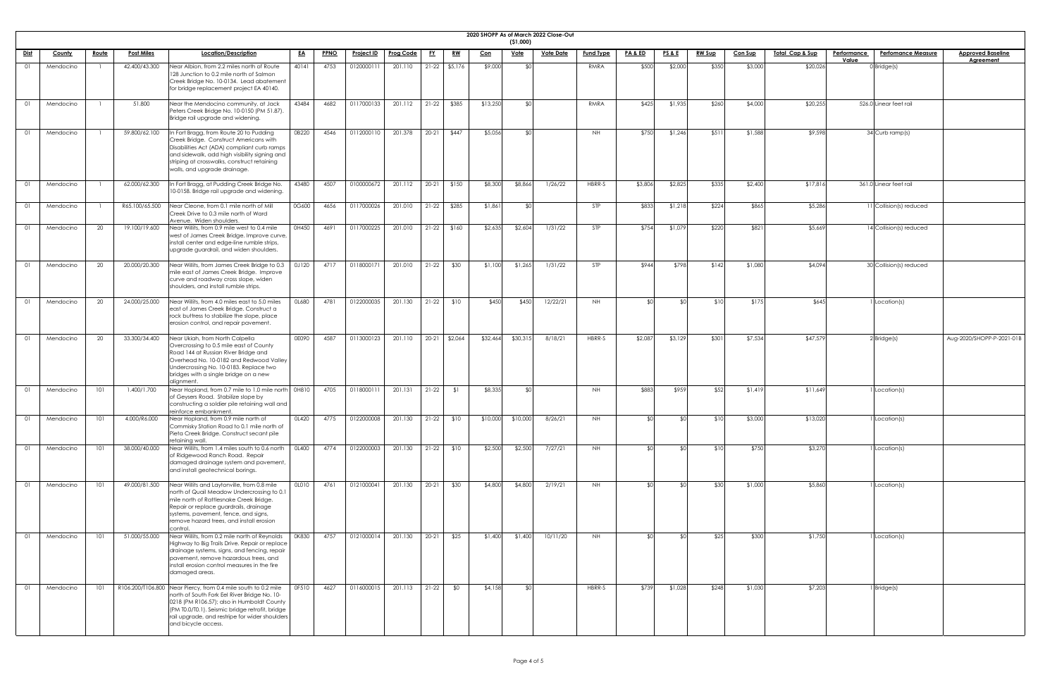| 2020 SHOPI |  |
|------------|--|

|             |               |              |                   |                                                                                                                                                                                                                                                                                          |              |             |                   |                  |           |                 |            |                           | 2020 SHOPP As of March 2022 Close-Out |                  |                    |                 |               |                |                            |                    |                           |                           |
|-------------|---------------|--------------|-------------------|------------------------------------------------------------------------------------------------------------------------------------------------------------------------------------------------------------------------------------------------------------------------------------------|--------------|-------------|-------------------|------------------|-----------|-----------------|------------|---------------------------|---------------------------------------|------------------|--------------------|-----------------|---------------|----------------|----------------------------|--------------------|---------------------------|---------------------------|
| <u>Dist</u> | <b>County</b> | <u>Route</u> | <b>Post Miles</b> | Location/Description                                                                                                                                                                                                                                                                     | <u>EA</u>    | <b>PPNO</b> | <b>Project ID</b> | <b>Prog Code</b> | <u>FY</u> | <u>RW</u>       | <u>Con</u> | ( \$1,000)<br><u>Vote</u> | <b>Vote Date</b>                      | <b>Fund Type</b> | <u>PA &amp; ED</u> | <b>PS&amp;E</b> | <b>RW Sup</b> | <b>Con Sup</b> | <u>Total Cap &amp; Sup</u> | <b>Performance</b> | <b>Perfomance Measure</b> | <b>Approved Baseline</b>  |
|             |               |              |                   |                                                                                                                                                                                                                                                                                          |              |             |                   |                  |           |                 |            |                           |                                       |                  |                    |                 |               |                |                            | Value              |                           | <b>Agreement</b>          |
| 01          | Mendocino     |              | 42.400/43.300     | Near Albion, from 2.2 miles north of Route<br>128 Junction to 0.2 mile north of Salmon<br>Creek Bridge No. 10-0134. Lead abatement<br>for bridge replacement project EA 40140.                                                                                                           | 40141        | 4753        | 012000011         | 201.110          |           | $21-22$ \$5,176 | \$9,000    |                           |                                       | RMRA             | \$500              | \$2,000         | \$350         | \$3,000        | \$20,026                   |                    | $0$ Bridge(s)             |                           |
| 01          | Mendocino     |              | 51.800            | Near the Mendocino community, at Jack<br>Peters Creek Bridge No. 10-0150 (PM 51.87).<br>Bridge rail upgrade and widening.                                                                                                                                                                | 43484        | 4682        | 0117000133        | 201.112          |           | 21-22 \$385     | \$13,250   |                           |                                       | RMRA             | \$425              | \$1,935         | \$260         | \$4,000        | \$20,255                   |                    | 526.0 Linear feet rail    |                           |
| 01          | Mendocino     |              | 59.800/62.100     | In Fort Bragg, from Route 20 to Pudding<br>Creek Bridge. Construct Americans with<br>Disabilities Act (ADA) compliant curb ramps<br>and sidewalk, add high visibility signing and<br>striping at crosswalks, construct retaining<br>walls, and upgrade drainage.                         | 0B220        | 4546        | 0112000110        | 201.378          |           | 20-21 \$447     | \$5,056    |                           |                                       | <b>NH</b>        | \$750              | \$1,246         | \$51          | \$1,588        | \$9,598                    |                    | 34 Curb ramp(s)           |                           |
|             | Mendocino     |              | 62.000/62.300     | In Fort Bragg, at Pudding Creek Bridge No.<br>10-0158. Bridge rail upgrade and widening.                                                                                                                                                                                                 | 43480        | 4507        | 0100000672        | 201.112          |           | $20-21$ \$150   | \$8,300    | \$8,866                   | 1/26/22                               | HBRR-S           | \$3,806            | \$2,825         | \$335         | \$2,400        | \$17,816                   |                    | 361.0 Linear feet rail    |                           |
| 01          | Mendocino     |              | R65.100/65.500    | Near Cleone, from 0.1 mile north of Mill<br>Creek Drive to 0.3 mile north of Ward<br>Avenue. Widen shoulders.                                                                                                                                                                            | 0G600        | 4656        | 0117000026        | 201.010          |           | $21-22$ \$285   | \$1,861    |                           |                                       | <b>STP</b>       | \$833              | \$1,218         | \$224         | \$865          | \$5,286                    |                    | 11 Collision(s) reduced   |                           |
| 01          | Mendocino     | 20           | 19.100/19.600     | Near Willits, from 0.9 mile west to 0.4 mile<br>west of James Creek Bridge. Improve curve,<br>install center and edge-line rumble strips,<br>upgrade guardrail, and widen shoulders.                                                                                                     | 0H450        | 4691        | 0117000225        | 201.010          |           | $21-22$ \$160   | \$2,635    | \$2,604                   | 1/31/22                               | <b>STP</b>       | \$754              | \$1,079         | \$220         | \$821          | \$5,669                    |                    | $14$ Collision(s) reduced |                           |
| 01          | Mendocino     | 20           | 20.000/20.300     | Near Willits, from James Creek Bridge to 0.3<br>mile east of James Creek Bridge. Improve<br>curve and roadway cross slope, widen<br>shoulders, and install rumble strips.                                                                                                                | 0J120        | 4717        | 0118000171        | 201.010          | $21-22$   | \$30            | \$1,100    | \$1,265                   | 1/31/22                               | <b>STP</b>       | \$944              | \$798           | \$142         | \$1,080        | \$4,094                    |                    | 30 Collision(s) reduced   |                           |
| 01          | Mendocino     | 20           | 24.000/25.000     | Near Willits, from 4.0 miles east to 5.0 miles<br>east of James Creek Bridge. Construct a<br>rock buttress to stabilize the slope, place<br>erosion control, and repair pavement.                                                                                                        | OL680        | 4781        | 0122000035        | 201.130          |           | $21-22$ \$10    | \$450      | \$450                     | 12/22/21                              | <b>NH</b>        |                    | ዳስ              | \$1C          | \$175          | \$645                      |                    | Location(s)               |                           |
| 01          | Mendocino     | 20           | 33.300/34.400     | Near Ukiah, from North Calpella<br>Overcrossing to 0.5 mile east of County<br>Road 144 at Russian River Bridge and<br>Overhead No. 10-0182 and Redwood Valley<br>Undercrossing No. 10-0183. Replace two<br>bridges with a single bridge on a new<br>dlignment.                           | 0E090        | 4587        | 0113000123        | 201.110          |           | 20-21 \$2,064   | \$32,464   | \$30,315                  | 8/18/21                               | HBRR-S           | \$2,087            | \$3,129         | \$301         | \$7,534        | \$47,579                   |                    | $2$ Bridge(s)             | Aug-2020/SHOPP-P-2021-01B |
| 01          | Mendocino     | 101          | 1.400/1.700       | Near Hopland, from 0.7 mile to 1.0 mile north   0H810<br>of Geysers Road. Stabilize slope by<br>constructing a soldier pile retaining wall and<br>reinforce embankment.                                                                                                                  |              | 4705        | 0118000111        | 201.131          | $21-22$   | \$1             | \$8,335    |                           |                                       | NH               | \$883              | \$959           | \$52          | \$1,419        | \$11,649                   |                    | Location(s)               |                           |
| 01          | Mendocino     | 101          | 4.000/R6.000      | Near Hopland, from 0.9 mile north of<br>Commisky Station Road to 0.1 mile north of<br>Pieta Creek Bridge. Construct secant pile<br>retaining wall.                                                                                                                                       | OL420        | 4775        | 0122000008        | 201.130          | $21-22$   | \$10            | \$10,000   | \$10,000                  | 8/26/21                               | NH.              |                    |                 | \$10          | \$3,000        | \$13,020                   |                    | Location(s)               |                           |
| 01          | Mendocino     | 101          | 38.000/40.000     | Near Willits, from 1.4 miles south to 0.6 north<br>of Ridgewood Ranch Road. Repair<br>damaged drainage system and pavement,<br>and install geotechnical borings.                                                                                                                         | <b>OL400</b> | 4774        | 0122000003        | 201.130          | $21-22$   | \$10            | \$2,500    | \$2,500                   | 7/27/21                               | <b>NH</b>        |                    |                 | \$10          | \$750          | \$3,270                    |                    | Location(s)               |                           |
| 01          | Mendocino     | 101          | 49.000/81.500     | Near Willits and Laytonville, from 0.8 mile<br>north of Quail Meadow Undercrossing to 0.1<br>mile north of Rattlesnake Creek Bridge.<br>Repair or replace guardrails, drainage<br>systems, pavement, fence, and signs,<br>remove hazard trees, and install erosion<br>control.           | OLO10        | 4761        | 0121000041        | 201.130          | $20-21$   | \$30            | \$4,800    | \$4,800                   | 2/19/21                               | NH.              |                    |                 | \$30          | \$1,000        | \$5,860                    |                    | Location(s)               |                           |
| 01          | Mendocino     | 101          | 51.000/55.000     | Near Willits, from 0.2 mile north of Reynolds<br>Highway to Big Trails Drive. Repair or replace<br>drainage systems, signs, and fencing, repair<br>pavement, remove hazardous trees, and<br>install erosion control measures in the fire<br>damaged areas.                               | 0K830        | 4757        | 0121000014        | 201.130          | $20-21$   | \$25            | \$1,400    | \$1,400                   | 10/11/20                              | <b>NH</b>        |                    | ዳበ              | \$25          | \$300          | \$1,750                    |                    | Location(s)               |                           |
| 01          | Mendocino     | 101          |                   | R106.200/T106.800 Near Piercy, from 0.4 mile south to 0.2 mile<br>north of South Fork Eel River Bridge No. 10-<br>0218 (PM R106.57); also in Humboldt County<br>(PM T0.0/T0.1). Seismic bridge retrofit, bridge<br>rail upgrade, and restripe for wider shoulders<br>and bicycle access. | OF510        | 4627        | 0116000015        | 201.113          | $21-22$   | \$0             | \$4,158    |                           |                                       | HBRR-S           | \$739              | \$1,028         | \$248         | \$1,030        | \$7,203                    |                    | Bridge(s)                 |                           |